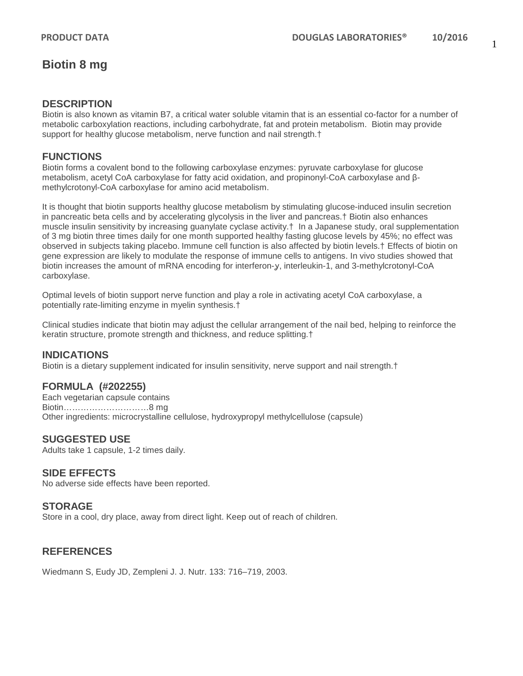## **Biotin 8 mg**

### **DESCRIPTION**

Biotin is also known as vitamin B7, a critical water soluble vitamin that is an essential co-factor for a number of metabolic carboxylation reactions, including carbohydrate, fat and protein metabolism. Biotin may provide support for healthy glucose metabolism, nerve function and nail strength.<sup>†</sup>

## **FUNCTIONS**

Biotin forms a covalent bond to the following carboxylase enzymes: pyruvate carboxylase for glucose metabolism, acetyl CoA carboxylase for fatty acid oxidation, and propinonyl-CoA carboxylase and βmethylcrotonyl-CoA carboxylase for amino acid metabolism.

It is thought that biotin supports healthy glucose metabolism by stimulating glucose-induced insulin secretion in pancreatic beta cells and by accelerating glycolysis in the liver and pancreas.† Biotin also enhances muscle insulin sensitivity by increasing guanylate cyclase activity.† In a Japanese study, oral supplementation of 3 mg biotin three times daily for one month supported healthy fasting glucose levels by 45%; no effect was observed in subjects taking placebo. Immune cell function is also affected by biotin levels.† Effects of biotin on gene expression are likely to modulate the response of immune cells to antigens. In vivo studies showed that biotin increases the amount of mRNA encoding for interferon-y, interleukin-1, and 3-methylcrotonyl-CoA carboxylase.

Optimal levels of biotin support nerve function and play a role in activating acetyl CoA carboxylase, a potentially rate-limiting enzyme in myelin synthesis.†

Clinical studies indicate that biotin may adjust the cellular arrangement of the nail bed, helping to reinforce the keratin structure, promote strength and thickness, and reduce splitting.†

### **INDICATIONS**

Biotin is a dietary supplement indicated for insulin sensitivity, nerve support and nail strength.†

### **FORMULA (#202255)**

Each vegetarian capsule contains Biotin…………………………8 mg Other ingredients: microcrystalline cellulose, hydroxypropyl methylcellulose (capsule)

#### **SUGGESTED USE**

Adults take 1 capsule, 1-2 times daily.

### **SIDE EFFECTS**

No adverse side effects have been reported.

#### **STORAGE**

Store in a cool, dry place, away from direct light. Keep out of reach of children.

### **REFERENCES**

Wiedmann S, Eudy JD, Zempleni J. J. Nutr. 133: 716–719, 2003.